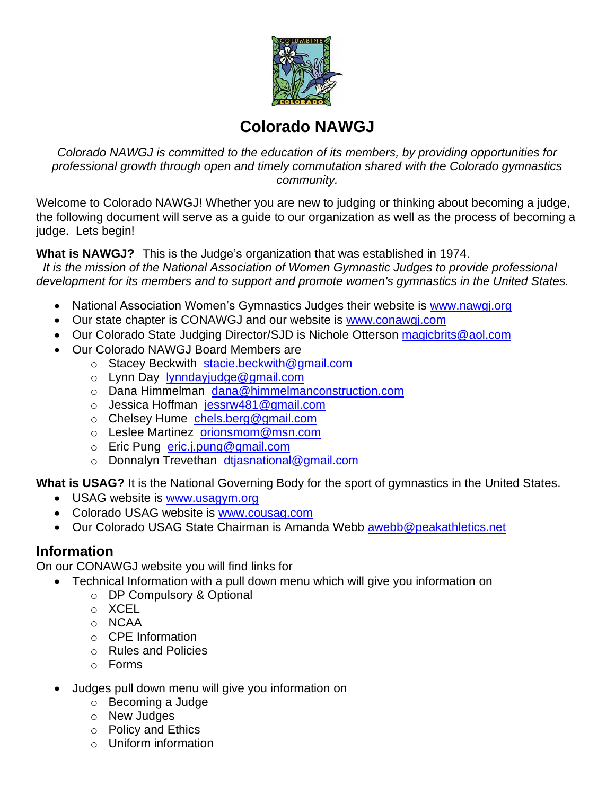

# **Colorado NAWGJ**

*Colorado NAWGJ is committed to the education of its members, by providing opportunities for professional growth through open and timely commutation shared with the Colorado gymnastics community.*

Welcome to Colorado NAWGJ! Whether you are new to judging or thinking about becoming a judge, the following document will serve as a guide to our organization as well as the process of becoming a judge. Lets begin!

**What is NAWGJ?** This is the Judge's organization that was established in 1974.

 *It is the mission of the National Association of Women Gymnastic Judges to provide professional development for its members and to support and promote women's gymnastics in the United States.*

- National Association Women's Gymnastics Judges their website is [www.nawgj.org](http://www.nawgj.org/)
- Our state chapter is CONAWGJ and our website is [www.conawgj.com](http://www.conawgj.com/)
- Our Colorado State Judging Director/SJD is Nichole Otterson [magicbrits@aol.com](mailto:magicbrits@aol.com)
- Our Colorado NAWGJ Board Members are
	- o Stacey Beckwith [stacie.beckwith@gmail.com](mailto:stacie.beckwith@gmail.com)
	- o Lynn Day [lynndayjudge@gmail.com](mailto:lynndayjudge@gmail.com)
	- o Dana Himmelman [dana@himmelmanconstruction.com](mailto:dana@himmelmanconstruction.com)
	- o Jessica Hoffman [jessrw481@gmail.com](mailto:jessrw481@gmail.com)
	- o Chelsey Hume [chels.berg@gmail.com](mailto:chels.berg@gmail.com)
	- o Leslee Martinez [orionsmom@msn.com](mailto:orionsmom@msn.com)
	- o Eric Pung [eric.j.pung@gmail.com](mailto:eric.j.pung@gmail.com)
	- o Donnalyn Trevethan [dtjasnational@gmail.com](mailto:dtjasnational@gmail.com)

**What is USAG?** It is the National Governing Body for the sport of gymnastics in the United States.

- USAG website is [www.usagym.org](http://www.usagym.org/)
- Colorado USAG website is [www.cousag.com](http://www.cousag.com/)
- Our Colorado USAG State Chairman is Amanda Webb [awebb@peakathletics.net](mailto:awebb@peakathletics.net)

### **Information**

On our CONAWGJ website you will find links for

- Technical Information with a pull down menu which will give you information on
	- o DP Compulsory & Optional
	- o XCEL
	- o NCAA
	- o CPE Information
	- o Rules and Policies
	- o Forms
- Judges pull down menu will give you information on
	- o Becoming a Judge
	- o New Judges
	- o Policy and Ethics
	- o Uniform information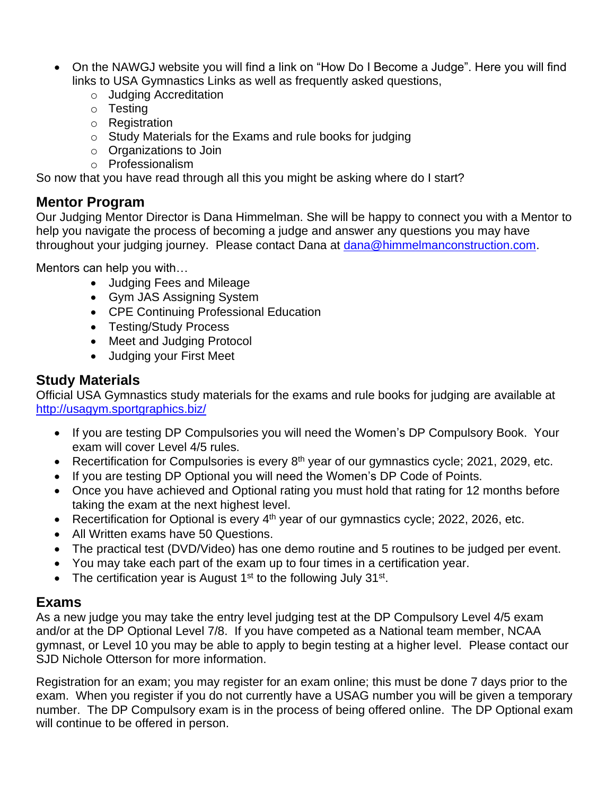- On the NAWGJ website you will find a link on "How Do I Become a Judge". Here you will find links to USA Gymnastics Links as well as frequently asked questions,
	- o Judging Accreditation
	- o Testing
	- o Registration
	- $\circ$  Study Materials for the Exams and rule books for judging
	- o Organizations to Join
	- o Professionalism

So now that you have read through all this you might be asking where do I start?

#### **Mentor Program**

Our Judging Mentor Director is Dana Himmelman. She will be happy to connect you with a Mentor to help you navigate the process of becoming a judge and answer any questions you may have throughout your judging journey. Please contact Dana at [dana@himmelmanconstruction.com.](mailto:dana@himmelmanconstruction.com)

Mentors can help you with…

- Judging Fees and Mileage
- Gym JAS Assigning System
- CPE Continuing Professional Education
- Testing/Study Process
- Meet and Judging Protocol
- Judging your First Meet

#### **Study Materials**

Official USA Gymnastics study materials for the exams and rule books for judging are available at <http://usagym.sportgraphics.biz/>

- If you are testing DP Compulsories you will need the Women's DP Compulsory Book. Your exam will cover Level 4/5 rules.
- Recertification for Compulsories is every 8<sup>th</sup> year of our gymnastics cycle; 2021, 2029, etc.
- If you are testing DP Optional you will need the Women's DP Code of Points.
- Once you have achieved and Optional rating you must hold that rating for 12 months before taking the exam at the next highest level.
- Recertification for Optional is every  $4<sup>th</sup>$  year of our gymnastics cycle; 2022, 2026, etc.
- All Written exams have 50 Questions.
- The practical test (DVD/Video) has one demo routine and 5 routines to be judged per event.
- You may take each part of the exam up to four times in a certification year.
- The certification year is August  $1<sup>st</sup>$  to the following July 31 $<sup>st</sup>$ .</sup>

### **Exams**

As a new judge you may take the entry level judging test at the DP Compulsory Level 4/5 exam and/or at the DP Optional Level 7/8. If you have competed as a National team member, NCAA gymnast, or Level 10 you may be able to apply to begin testing at a higher level. Please contact our SJD Nichole Otterson for more information.

Registration for an exam; you may register for an exam online; this must be done 7 days prior to the exam. When you register if you do not currently have a USAG number you will be given a temporary number. The DP Compulsory exam is in the process of being offered online. The DP Optional exam will continue to be offered in person.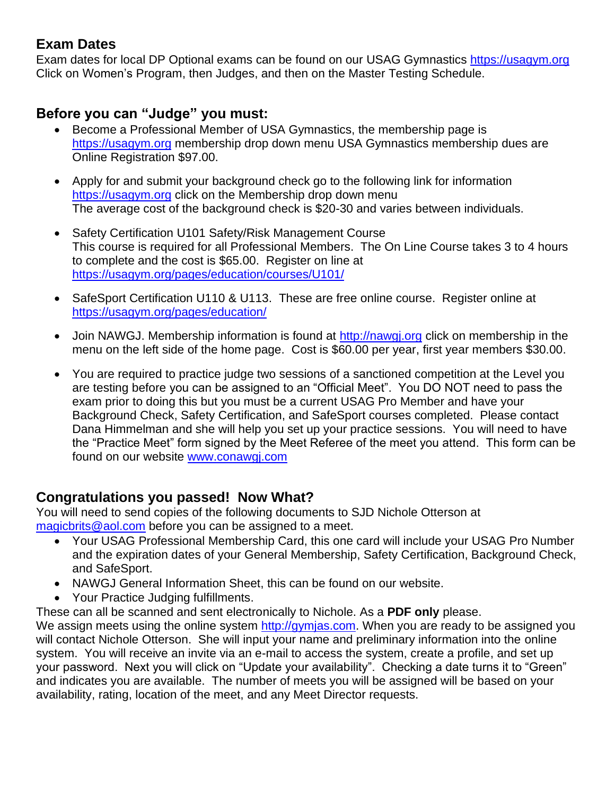# **Exam Dates**

Exam dates for local DP Optional exams can be found on our USAG Gymnastics [https://usagym.org](https://usagym.org/)  Click on Women's Program, then Judges, and then on the Master Testing Schedule.

# **Before you can "Judge" you must:**

- Become a Professional Member of USA Gymnastics, the membership page is [https://usagym.org](https://usagym.org/) membership drop down menu USA Gymnastics membership dues are Online Registration \$97.00.
- Apply for and submit your background check go to the following link for information [https://usagym.org](https://usagym.org/) click on the Membership drop down menu The average cost of the background check is \$20-30 and varies between individuals.
- Safety Certification U101 Safety/Risk Management Course This course is required for all Professional Members. The On Line Course takes 3 to 4 hours to complete and the cost is \$65.00. Register on line at <https://usagym.org/pages/education/courses/U101/>
- SafeSport Certification U110 & U113. These are free online course. Register online at <https://usagym.org/pages/education/>
- Join NAWGJ. Membership information is found at [http://nawgj.org](http://nawgj.org/) click on membership in the menu on the left side of the home page. Cost is \$60.00 per year, first year members \$30.00.
- You are required to practice judge two sessions of a sanctioned competition at the Level you are testing before you can be assigned to an "Official Meet". You DO NOT need to pass the exam prior to doing this but you must be a current USAG Pro Member and have your Background Check, Safety Certification, and SafeSport courses completed. Please contact Dana Himmelman and she will help you set up your practice sessions. You will need to have the "Practice Meet" form signed by the Meet Referee of the meet you attend. This form can be found on our website [www.conawgj.com](http://www.conawgj.com/)

### **Congratulations you passed! Now What?**

You will need to send copies of the following documents to SJD Nichole Otterson at [magicbrits@aol.com](mailto:magicbrits@aol.com) before you can be assigned to a meet.

- Your USAG Professional Membership Card, this one card will include your USAG Pro Number and the expiration dates of your General Membership, Safety Certification, Background Check, and SafeSport.
- NAWGJ General Information Sheet, this can be found on our website.
- Your Practice Judging fulfillments.
- These can all be scanned and sent electronically to Nichole. As a **PDF only** please.

We assign meets using the online system [http://gymjas.com.](http://gymjas.com/) When you are ready to be assigned you will contact Nichole Otterson. She will input your name and preliminary information into the online system. You will receive an invite via an e-mail to access the system, create a profile, and set up your password. Next you will click on "Update your availability". Checking a date turns it to "Green" and indicates you are available. The number of meets you will be assigned will be based on your availability, rating, location of the meet, and any Meet Director requests.